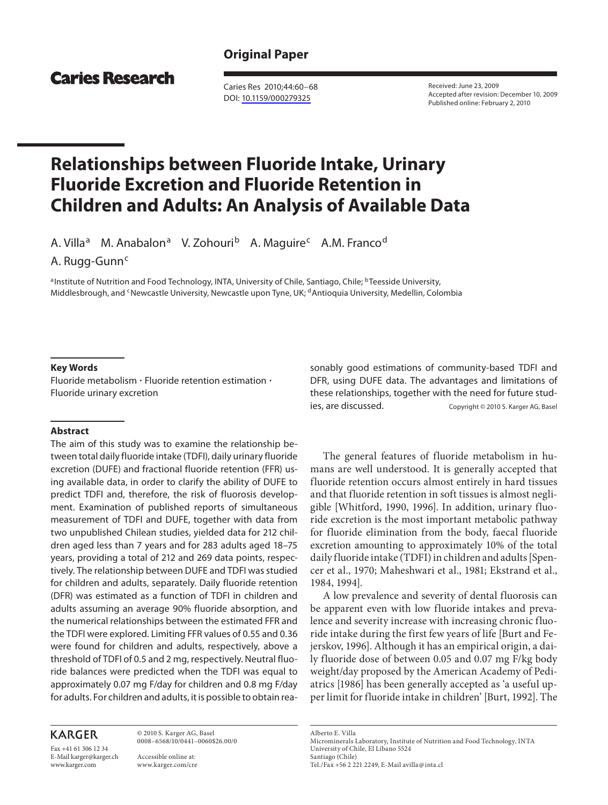# **Original Paper**

**Caries Research** 

 Caries Res 2010;44:60–68 DOI: [10.1159/000279325](http://dx.doi.org/10.1159%2F000279325)

 Received: June 23, 2009 Accepted after revision: December 10, 2009 Published online: February 2, 2010

# **Relationships between Fluoride Intake, Urinary Fluoride Excretion and Fluoride Retention in Children and Adults: An Analysis of Available Data**

A. Villa<sup>a</sup> M. Anabalon<sup>a</sup> V. Zohouri<sup>b</sup> A. Maguire<sup>c</sup> A.M. Franco<sup>d</sup>

A. Rugg-Gunn<sup>c</sup>

a Institute of Nutrition and Food Technology, INTA, University of Chile, Santiago, Chile; <sup>b</sup> Teesside University, Middlesbrough, and <sup>c</sup> Newcastle University, Newcastle upon Tyne, UK; <sup>d</sup> Antioquia University, Medellin, Colombia

## **Key Words**

Fluoride metabolism  $\cdot$  Fluoride retention estimation  $\cdot$ Fluoride urinary excretion

# **Abstract**

 The aim of this study was to examine the relationship between total daily fluoride intake (TDFI), daily urinary fluoride excretion (DUFE) and fractional fluoride retention (FFR) using available data, in order to clarify the ability of DUFE to predict TDFI and, therefore, the risk of fluorosis development. Examination of published reports of simultaneous measurement of TDFI and DUFE, together with data from two unpublished Chilean studies, yielded data for 212 children aged less than 7 years and for 283 adults aged 18–75 years, providing a total of 212 and 269 data points, respectively. The relationship between DUFE and TDFI was studied for children and adults, separately. Daily fluoride retention (DFR) was estimated as a function of TDFI in children and adults assuming an average 90% fluoride absorption, and the numerical relationships between the estimated FFR and the TDFI were explored. Limiting FFR values of 0.55 and 0.36 were found for children and adults, respectively, above a threshold of TDFI of 0.5 and 2 mg, respectively. Neutral fluoride balances were predicted when the TDFI was equal to approximately 0.07 mg F/day for children and 0.8 mg F/day for adults. For children and adults, it is possible to obtain rea-

# **KARGER**

Fax +41 61 306 12 34 E-Mail karger@karger.ch www.karger.com

 © 2010 S. Karger AG, Basel 0008–6568/10/0441–0060\$26.00/0

 Accessible online at: www.karger.com/cre sonably good estimations of community-based TDFI and DFR, using DUFE data. The advantages and limitations of these relationships, together with the need for future studies, are discussed. Copyright © 2010 S. Karger AG, Basel

 The general features of fluoride metabolism in humans are well understood. It is generally accepted that fluoride retention occurs almost entirely in hard tissues and that fluoride retention in soft tissues is almost negligible [Whitford, 1990, 1996]. In addition, urinary fluoride excretion is the most important metabolic pathway for fluoride elimination from the body, faecal fluoride excretion amounting to approximately 10% of the total daily fluoride intake (TDFI) in children and adults [Spencer et al., 1970; Maheshwari et al., 1981; Ekstrand et al., 1984, 1994].

 A low prevalence and severity of dental fluorosis can be apparent even with low fluoride intakes and prevalence and severity increase with increasing chronic fluoride intake during the first few years of life [Burt and Fejerskov, 1996]. Although it has an empirical origin, a daily fluoride dose of between 0.05 and 0.07 mg F/kg body weight/day proposed by the American Academy of Pediatrics [1986] has been generally accepted as 'a useful upper limit for fluoride intake in children' [Burt, 1992]. The

 Alberto E. Villa Microminerals Laboratory, Institute of Nutrition and Food Technology, INTA University of Chile, El Líbano 5524 Santiago (Chile) Tel./Fax +56 2 221 2249, E-Mail avilla @ inta.cl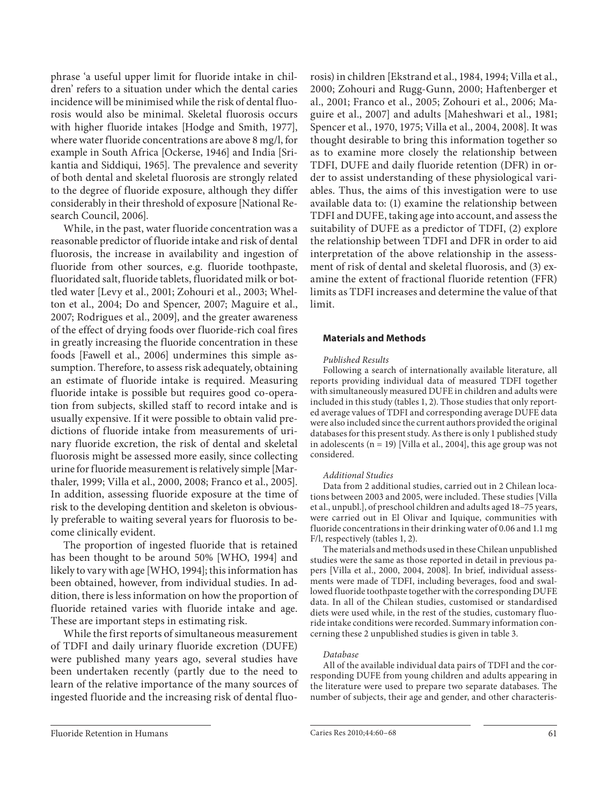phrase 'a useful upper limit for fluoride intake in children' refers to a situation under which the dental caries incidence will be minimised while the risk of dental fluorosis would also be minimal. Skeletal fluorosis occurs with higher fluoride intakes [Hodge and Smith, 1977], where water fluoride concentrations are above 8 mg/l, for example in South Africa [Ockerse, 1946] and India [Srikantia and Siddiqui, 1965]. The prevalence and severity of both dental and skeletal fluorosis are strongly related to the degree of fluoride exposure, although they differ considerably in their threshold of exposure [National Research Council, 2006].

 While, in the past, water fluoride concentration was a reasonable predictor of fluoride intake and risk of dental fluorosis, the increase in availability and ingestion of fluoride from other sources, e.g. fluoride toothpaste, fluoridated salt, fluoride tablets, fluoridated milk or bottled water [Levy et al., 2001; Zohouri et al., 2003; Whelton et al., 2004; Do and Spencer, 2007; Maguire et al., 2007; Rodrigues et al., 2009], and the greater awareness of the effect of drying foods over fluoride-rich coal fires in greatly increasing the fluoride concentration in these foods [Fawell et al., 2006] undermines this simple assumption. Therefore, to assess risk adequately, obtaining an estimate of fluoride intake is required. Measuring fluoride intake is possible but requires good co-operation from subjects, skilled staff to record intake and is usually expensive. If it were possible to obtain valid predictions of fluoride intake from measurements of urinary fluoride excretion, the risk of dental and skeletal fluorosis might be assessed more easily, since collecting urine for fluoride measurement is relatively simple [Marthaler, 1999; Villa et al., 2000, 2008; Franco et al., 2005]. In addition, assessing fluoride exposure at the time of risk to the developing dentition and skeleton is obviously preferable to waiting several years for fluorosis to become clinically evident.

 The proportion of ingested fluoride that is retained has been thought to be around 50% [WHO, 1994] and likely to vary with age [WHO, 1994]; this information has been obtained, however, from individual studies. In addition, there is less information on how the proportion of fluoride retained varies with fluoride intake and age. These are important steps in estimating risk.

 While the first reports of simultaneous measurement of TDFI and daily urinary fluoride excretion (DUFE) were published many years ago, several studies have been undertaken recently (partly due to the need to learn of the relative importance of the many sources of ingested fluoride and the increasing risk of dental fluorosis) in children [Ekstrand et al., 1984, 1994; Villa et al., 2000; Zohouri and Rugg-Gunn, 2000; Haftenberger et al., 2001; Franco et al., 2005; Zohouri et al., 2006; Maguire et al., 2007] and adults [Maheshwari et al., 1981; Spencer et al., 1970, 1975; Villa et al., 2004, 2008]. It was thought desirable to bring this information together so as to examine more closely the relationship between TDFI, DUFE and daily fluoride retention (DFR) in order to assist understanding of these physiological variables. Thus, the aims of this investigation were to use available data to: (1) examine the relationship between TDFI and DUFE, taking age into account, and assess the suitability of DUFE as a predictor of TDFI, (2) explore the relationship between TDFI and DFR in order to aid interpretation of the above relationship in the assessment of risk of dental and skeletal fluorosis, and (3) examine the extent of fractional fluoride retention (FFR) limits as TDFI increases and determine the value of that limit.

## **Materials and Methods**

#### *Published Results*

 Following a search of internationally available literature, all reports providing individual data of measured TDFI together with simultaneously measured DUFE in children and adults were included in this study (tables 1, 2). Those studies that only reported average values of TDFI and corresponding average DUFE data were also included since the current authors provided the original databases for this present study. As there is only 1 published study in adolescents ( $n = 19$ ) [Villa et al., 2004], this age group was not considered.

#### *Additional Studies*

 Data from 2 additional studies, carried out in 2 Chilean locations between 2003 and 2005, were included. These studies [Villa et al., unpubl.], of preschool children and adults aged 18–75 years, were carried out in El Olivar and Iquique, communities with fluoride concentrations in their drinking water of 0.06 and 1.1 mg F/l, respectively (tables 1, 2).

 The materials and methods used in these Chilean unpublished studies were the same as those reported in detail in previous papers [Villa et al., 2000, 2004, 2008]. In brief, individual assessments were made of TDFI, including beverages, food and swallowed fluoride toothpaste together with the corresponding DUFE data. In all of the Chilean studies, customised or standardised diets were used while, in the rest of the studies, customary fluoride intake conditions were recorded. Summary information concerning these 2 unpublished studies is given in table 3 .

#### *Database*

 All of the available individual data pairs of TDFI and the corresponding DUFE from young children and adults appearing in the literature were used to prepare two separate databases. The number of subjects, their age and gender, and other characteris-

Fluoride Retention in Humans Caries Res 2010;44:60–68 61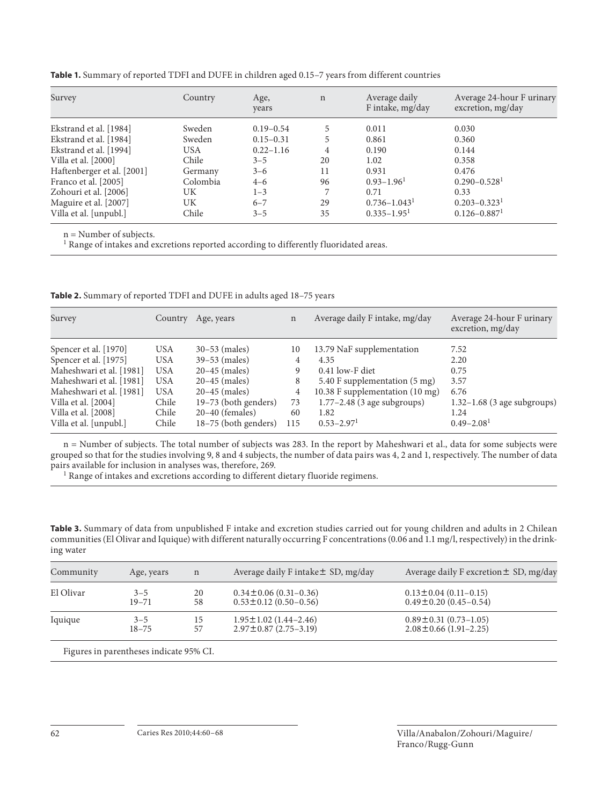| Survey                     | Country    | Age,<br>years | $\mathbf n$ | Average daily<br>F intake, mg/day | Average 24-hour F urinary<br>excretion, mg/day |
|----------------------------|------------|---------------|-------------|-----------------------------------|------------------------------------------------|
| Ekstrand et al. [1984]     | Sweden     | $0.19 - 0.54$ | 5           | 0.011                             | 0.030                                          |
| Ekstrand et al. [1984]     | Sweden     | $0.15 - 0.31$ | 5           | 0.861                             | 0.360                                          |
| Ekstrand et al. [1994]     | <b>USA</b> | $0.22 - 1.16$ | 4           | 0.190                             | 0.144                                          |
| Villa et al. [2000]        | Chile      | $3 - 5$       | 20          | 1.02                              | 0.358                                          |
| Haftenberger et al. [2001] | Germany    | $3 - 6$       | 11          | 0.931                             | 0.476                                          |
| Franco et al. [2005]       | Colombia   | $4 - 6$       | 96          | $0.93 - 1.96$ <sup>1</sup>        | $0.290 - 0.528$ <sup>1</sup>                   |
| Zohouri et al. [2006]      | UK         | $1 - 3$       |             | 0.71                              | 0.33                                           |
| Maguire et al. [2007]      | UK         | $6 - 7$       | 29          | $0.736 - 1.043$ <sup>1</sup>      | $0.203 - 0.323^1$                              |
| Villa et al. [unpubl.]     | Chile      | $3 - 5$       | 35          | $0.335 - 1.95$ <sup>1</sup>       | $0.126 - 0.887$ <sup>1</sup>                   |
|                            |            |               |             |                                   |                                                |

**Table 1.** Summary of reported TDFI and DUFE in children aged 0.15–7 years from different countries

n = Number of subjects.

<sup>1</sup> Range of intakes and excretions reported according to differently fluoridated areas.

**Table 2.** Summary of reported TDFI and DUFE in adults aged 18–75 years

| Survey                   | Country    | Age, years           | $\mathbf n$ | Average daily F intake, mg/day  | Average 24-hour F urinary<br>excretion, mg/day |
|--------------------------|------------|----------------------|-------------|---------------------------------|------------------------------------------------|
| Spencer et al. [1970]    | <b>USA</b> | $30 - 53$ (males)    | 10          | 13.79 NaF supplementation       | 7.52                                           |
| Spencer et al. [1975]    | <b>USA</b> | $39-53$ (males)      | 4           | 4.35                            | 2.20                                           |
| Maheshwari et al. [1981] | <b>USA</b> | $20 - 45$ (males)    | 9           | $0.41$ low-F diet               | 0.75                                           |
| Maheshwari et al. [1981] | <b>USA</b> | $20 - 45$ (males)    | 8           | 5.40 F supplementation (5 mg)   | 3.57                                           |
| Maheshwari et al. [1981] | <b>USA</b> | $20 - 45$ (males)    | 4           | 10.38 F supplementation (10 mg) | 6.76                                           |
| Villa et al. [2004]      | Chile      | 19–73 (both genders) | 73          | $1.77 - 2.48$ (3 age subgroups) | $1.32-1.68$ (3 age subgroups)                  |
| Villa et al. [2008]      | Chile      | $20-40$ (females)    | 60          | 1.82                            | 1.24                                           |
| Villa et al. [unpubl.]   | Chile      | 18–75 (both genders) | 115         | $0.53 - 2.97$ <sup>1</sup>      | $0.49 - 2.08$ <sup>1</sup>                     |

n = Number of subjects. The total number of subjects was 283. In the report by Maheshwari et al., data for some subjects were grouped so that for the studies involving 9, 8 and 4 subjects, the number of data pairs was 4, 2 and 1, respectively. The number of data pairs available for inclusion in analyses was, therefore, 269. 1

<sup>1</sup> Range of intakes and excretions according to different dietary fluoride regimens.

**Table 3.** Summary of data from unpublished F intake and excretion studies carried out for young children and adults in 2 Chilean communities (El Olivar and Iquique) with different naturally occurring F concentrations (0.06 and 1.1 mg/l, respectively) in the drinking water

| Community | Age, years | n  | Average daily F intake ± SD, mg/day | Average daily F excretion ± SD, mg/day |  |  |
|-----------|------------|----|-------------------------------------|----------------------------------------|--|--|
| El Olivar | $3 - 5$    | 20 | $0.34 \pm 0.06$ (0.31-0.36)         | $0.13 \pm 0.04$ (0.11-0.15)            |  |  |
|           | $19 - 71$  | 58 | $0.53 \pm 0.12$ (0.50-0.56)         | $0.49 \pm 0.20$ (0.45-0.54)            |  |  |
| Iquique   | $3 - 5$    | 15 | $1.95 \pm 1.02$ (1.44–2.46)         | $0.89 \pm 0.31$ (0.73-1.05)            |  |  |
|           | $18 - 75$  | 57 | $2.97 \pm 0.87$ (2.75-3.19)         | $2.08 \pm 0.66$ (1.91-2.25)            |  |  |

Figures in parentheses indicate 95% CI.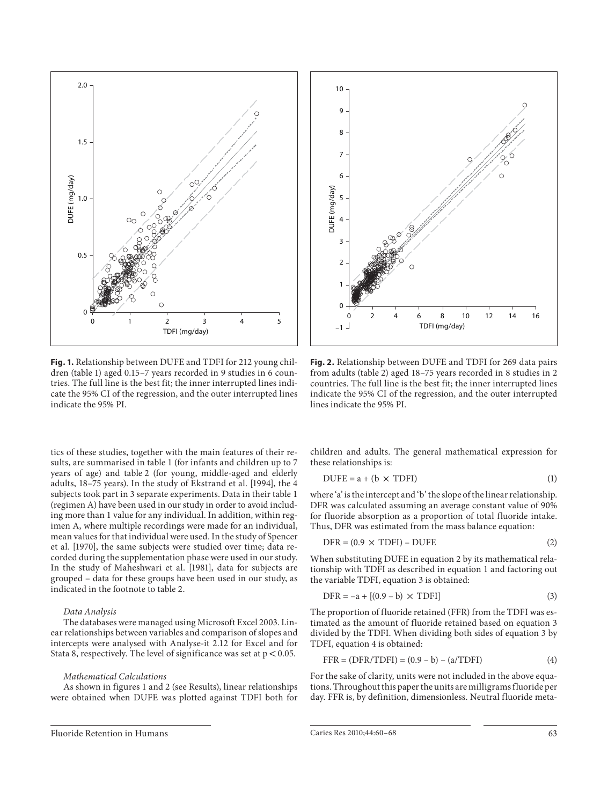

**Fig. 1.** Relationship between DUFE and TDFI for 212 young children (table 1) aged 0.15-7 years recorded in 9 studies in 6 countries. The full line is the best fit; the inner interrupted lines indicate the 95% CI of the regression, and the outer interrupted lines indicate the 95% PI.

tics of these studies, together with the main features of their results, are summarised in table 1 (for infants and children up to 7 years of age) and table 2 (for young, middle-aged and elderly adults, 18–75 years). In the study of Ekstrand et al. [1994], the 4 subjects took part in 3 separate experiments. Data in their table 1 (regimen A) have been used in our study in order to avoid including more than 1 value for any individual. In addition, within regimen A, where multiple recordings were made for an individual, mean values for that individual were used. In the study of Spencer et al. [1970], the same subjects were studied over time; data recorded during the supplementation phase were used in our study. In the study of Maheshwari et al. [1981], data for subjects are grouped – data for these groups have been used in our study, as indicated in the footnote to table 2.

#### *Data Analysis*

 The databases were managed using Microsoft Excel 2003. Linear relationships between variables and comparison of slopes and intercepts were analysed with Analyse-it 2.12 for Excel and for Stata 8, respectively. The level of significance was set at  $p < 0.05$ .

#### *Mathematical Calculations*

 As shown in figures 1 and 2 (see Results), linear relationships were obtained when DUFE was plotted against TDFI both for



**Fig. 2.** Relationship between DUFE and TDFI for 269 data pairs from adults (table 2) aged 18-75 years recorded in 8 studies in 2 countries. The full line is the best fit; the inner interrupted lines indicate the 95% CI of the regression, and the outer interrupted lines indicate the 95% PI.

children and adults. The general mathematical expression for these relationships is:

$$
DUFE = a + (b \times TDFI)
$$
 (1)

 where 'a' is the intercept and 'b' the slope of the linear relationship. DFR was calculated assuming an average constant value of 90% for fluoride absorption as a proportion of total fluoride intake. Thus, DFR was estimated from the mass balance equation:

$$
DFR = (0.9 \times TDFI) - DUFE
$$
 (2)

 When substituting DUFE in equation 2 by its mathematical relationship with TDFI as described in equation 1 and factoring out the variable TDFI, equation 3 is obtained:

$$
DFR = -a + [(0.9 - b) \times TDFI]
$$
 (3)

 The proportion of fluoride retained (FFR) from the TDFI was estimated as the amount of fluoride retained based on equation 3 divided by the TDFI. When dividing both sides of equation 3 by TDFI, equation 4 is obtained:

$$
FFR = (DFR/TDFI) = (0.9 - b) - (a/TDFI)
$$
 (4)

 For the sake of clarity, units were not included in the above equations. Throughout this paper the units are milligrams fluoride per day. FFR is, by definition, dimensionless. Neutral fluoride meta-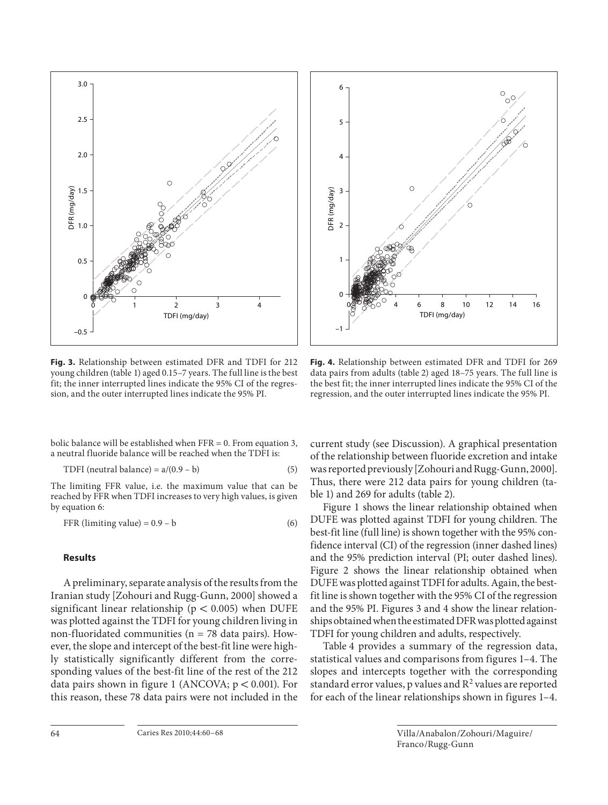

**Fig. 3.** Relationship between estimated DFR and TDFI for 212 young children (table 1) aged 0.15-7 years. The full line is the best fit; the inner interrupted lines indicate the 95% CI of the regression, and the outer interrupted lines indicate the 95% PI.

bolic balance will be established when FFR = 0. From equation 3, a neutral fluoride balance will be reached when the TDFI is:

$$
TDFI (neutral balance) = a/(0.9 - b)
$$
 (5)

 The limiting FFR value, i.e. the maximum value that can be reached by FFR when TDFI increases to very high values, is given by equation 6:

$$
FFR (limiting value) = 0.9 - b \tag{6}
$$

# **Results**

 A preliminary, separate analysis of the results from the Iranian study [Zohouri and Rugg-Gunn, 2000] showed a significant linear relationship ( $p < 0.005$ ) when DUFE was plotted against the TDFI for young children living in non-fluoridated communities ( $n = 78$  data pairs). However, the slope and intercept of the best-fit line were highly statistically significantly different from the corresponding values of the best-fit line of the rest of the 212 data pairs shown in figure 1 (ANCOVA;  $p < 0.001$ ). For this reason, these 78 data pairs were not included in the



**Fig. 4.** Relationship between estimated DFR and TDFI for 269 data pairs from adults (table 2) aged 18-75 years. The full line is the best fit; the inner interrupted lines indicate the 95% CI of the regression, and the outer interrupted lines indicate the 95% PI.

current study (see Discussion). A graphical presentation of the relationship between fluoride excretion and intake was reported previously [Zohouri and Rugg-Gunn, 2000]. Thus, there were 212 data pairs for young children (table 1) and 269 for adults (table 2).

 Figure 1 shows the linear relationship obtained when DUFE was plotted against TDFI for young children. The best-fit line (full line) is shown together with the 95% confidence interval (CI) of the regression (inner dashed lines) and the 95% prediction interval (PI; outer dashed lines). Figure 2 shows the linear relationship obtained when DUFE was plotted against TDFI for adults. Again, the bestfit line is shown together with the 95% CI of the regression and the 95% PI. Figures 3 and 4 show the linear relationships obtained when the estimated DFR was plotted against TDFI for young children and adults, respectively.

 Table 4 provides a summary of the regression data, statistical values and comparisons from figures 1–4 . The slopes and intercepts together with the corresponding standard error values, p values and  $R^2$  values are reported for each of the linear relationships shown in figures 1-4.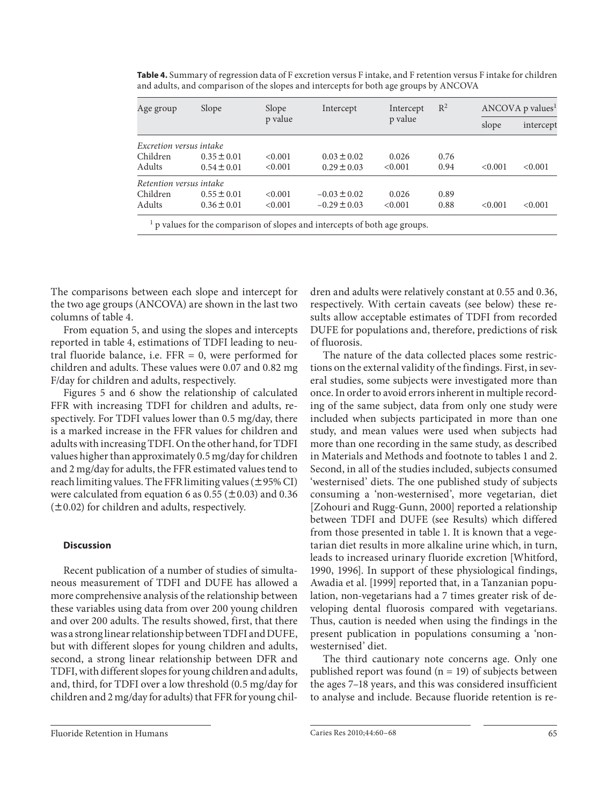| Age group               | Slope           | Slope<br>p value | Intercept        | Intercept<br>p value | $\mathbb{R}^2$ | $\triangle NCOVA$ p values <sup>1</sup> |           |
|-------------------------|-----------------|------------------|------------------|----------------------|----------------|-----------------------------------------|-----------|
|                         |                 |                  |                  |                      |                | slope                                   | intercept |
| Excretion versus intake |                 |                  |                  |                      |                |                                         |           |
| Children                | $0.35 \pm 0.01$ | < 0.001          | $0.03 \pm 0.02$  | 0.026                | 0.76           |                                         |           |
| Adults                  | $0.54 \pm 0.01$ | < 0.001          | $0.29 \pm 0.03$  | < 0.001              | 0.94           | < 0.001                                 | < 0.001   |
| Retention versus intake |                 |                  |                  |                      |                |                                         |           |
| Children                | $0.55 \pm 0.01$ | < 0.001          | $-0.03 \pm 0.02$ | 0.026                | 0.89           |                                         |           |
| Adults                  | $0.36 \pm 0.01$ | < 0.001          | $-0.29 \pm 0.03$ | < 0.001              | 0.88           | < 0.001                                 | < 0.001   |

**Table 4.** Summary of regression data of F excretion versus F intake, and F retention versus F intake for children and adults, and comparison of the slopes and intercepts for both age groups by ANCOVA

The comparisons between each slope and intercept for the two age groups (ANCOVA) are shown in the last two columns of table 4.

 From equation 5, and using the slopes and intercepts reported in table 4, estimations of TDFI leading to neutral fluoride balance, i.e.  $FFR = 0$ , were performed for children and adults. These values were 0.07 and 0.82 mg F/day for children and adults, respectively.

 Figures 5 and 6 show the relationship of calculated FFR with increasing TDFI for children and adults, respectively. For TDFI values lower than 0.5 mg/day, there is a marked increase in the FFR values for children and adults with increasing TDFI. On the other hand, for TDFI values higher than approximately 0.5 mg/day for children and 2 mg/day for adults, the FFR estimated values tend to reach limiting values. The FFR limiting values ( $\pm$ 95% CI) were calculated from equation 6 as 0.55 ( $\pm$ 0.03) and 0.36  $(±0.02)$  for children and adults, respectively.

# **Discussion**

 Recent publication of a number of studies of simultaneous measurement of TDFI and DUFE has allowed a more comprehensive analysis of the relationship between these variables using data from over 200 young children and over 200 adults. The results showed, first, that there was a strong linear relationship between TDFI and DUFE, but with different slopes for young children and adults, second, a strong linear relationship between DFR and TDFI, with different slopes for young children and adults, and, third, for TDFI over a low threshold (0.5 mg/day for children and 2 mg/day for adults) that FFR for young children and adults were relatively constant at 0.55 and 0.36, respectively. With certain caveats (see below) these results allow acceptable estimates of TDFI from recorded DUFE for populations and, therefore, predictions of risk of fluorosis.

 The nature of the data collected places some restrictions on the external validity of the findings. First, in several studies, some subjects were investigated more than once. In order to avoid errors inherent in multiple recording of the same subject, data from only one study were included when subjects participated in more than one study, and mean values were used when subjects had more than one recording in the same study, as described in Materials and Methods and footnote to tables 1 and 2. Second, in all of the studies included, subjects consumed 'westernised' diets. The one published study of subjects consuming a 'non-westernised', more vegetarian, diet [Zohouri and Rugg-Gunn, 2000] reported a relationship between TDFI and DUFE (see Results) which differed from those presented in table 1. It is known that a vegetarian diet results in more alkaline urine which, in turn, leads to increased urinary fluoride excretion [Whitford, 1990, 1996]. In support of these physiological findings, Awadia et al. [1999] reported that, in a Tanzanian population, non-vegetarians had a 7 times greater risk of developing dental fluorosis compared with vegetarians. Thus, caution is needed when using the findings in the present publication in populations consuming a 'nonwesternised' diet.

 The third cautionary note concerns age. Only one published report was found  $(n = 19)$  of subjects between the ages 7–18 years, and this was considered insufficient to analyse and include. Because fluoride retention is re-

Fluoride Retention in Humans Caries Res 2010;44:60–68 65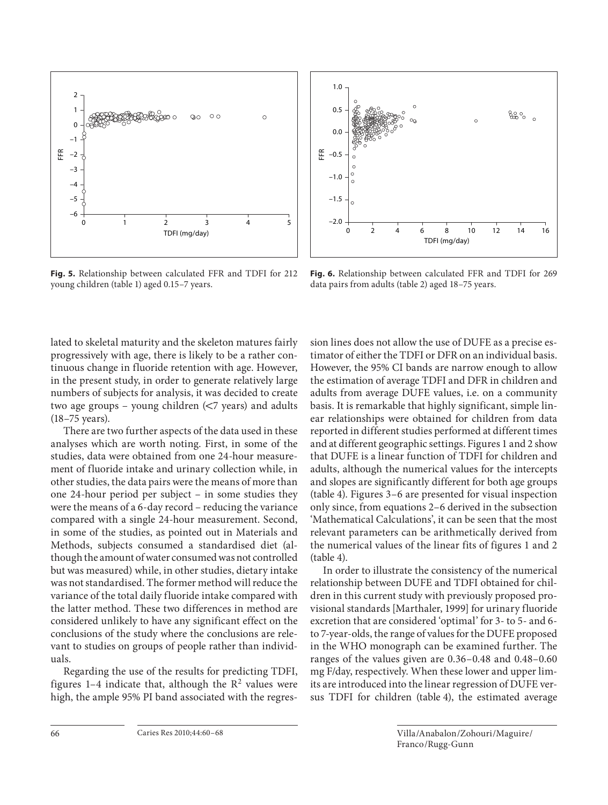

**Fig. 5.** Relationship between calculated FFR and TDFI for 212 young children (table 1) aged 0.15-7 years.



**Fig. 6.** Relationship between calculated FFR and TDFI for 269 data pairs from adults (table 2) aged 18-75 years.

lated to skeletal maturity and the skeleton matures fairly progressively with age, there is likely to be a rather continuous change in fluoride retention with age. However, in the present study, in order to generate relatively large numbers of subjects for analysis, it was decided to create two age groups – young children  $\leq$  years) and adults (18–75 years).

 There are two further aspects of the data used in these analyses which are worth noting. First, in some of the studies, data were obtained from one 24-hour measurement of fluoride intake and urinary collection while, in other studies, the data pairs were the means of more than one 24-hour period per subject – in some studies they were the means of a 6-day record – reducing the variance compared with a single 24-hour measurement. Second, in some of the studies, as pointed out in Materials and Methods, subjects consumed a standardised diet (although the amount of water consumed was not controlled but was measured) while, in other studies, dietary intake was not standardised. The former method will reduce the variance of the total daily fluoride intake compared with the latter method. These two differences in method are considered unlikely to have any significant effect on the conclusions of the study where the conclusions are relevant to studies on groups of people rather than individuals.

 Regarding the use of the results for predicting TDFI, figures 1-4 indicate that, although the  $\mathbb{R}^2$  values were high, the ample 95% PI band associated with the regression lines does not allow the use of DUFE as a precise estimator of either the TDFI or DFR on an individual basis. However, the 95% CI bands are narrow enough to allow the estimation of average TDFI and DFR in children and adults from average DUFE values, i.e. on a community basis. It is remarkable that highly significant, simple linear relationships were obtained for children from data reported in different studies performed at different times and at different geographic settings. Figures 1 and 2 show that DUFE is a linear function of TDFI for children and adults, although the numerical values for the intercepts and slopes are significantly different for both age groups (table 4). Figures 3-6 are presented for visual inspection only since, from equations 2–6 derived in the subsection 'Mathematical Calculations', it can be seen that the most relevant parameters can be arithmetically derived from the numerical values of the linear fits of figures 1 and 2  $(table 4)$ .

 In order to illustrate the consistency of the numerical relationship between DUFE and TDFI obtained for children in this current study with previously proposed provisional standards [Marthaler, 1999] for urinary fluoride excretion that are considered 'optimal' for 3- to 5- and 6 to 7-year-olds, the range of values for the DUFE proposed in the WHO monograph can be examined further. The ranges of the values given are 0.36–0.48 and 0.48–0.60 mg F/day, respectively. When these lower and upper limits are introduced into the linear regression of DUFE versus TDFI for children (table 4), the estimated average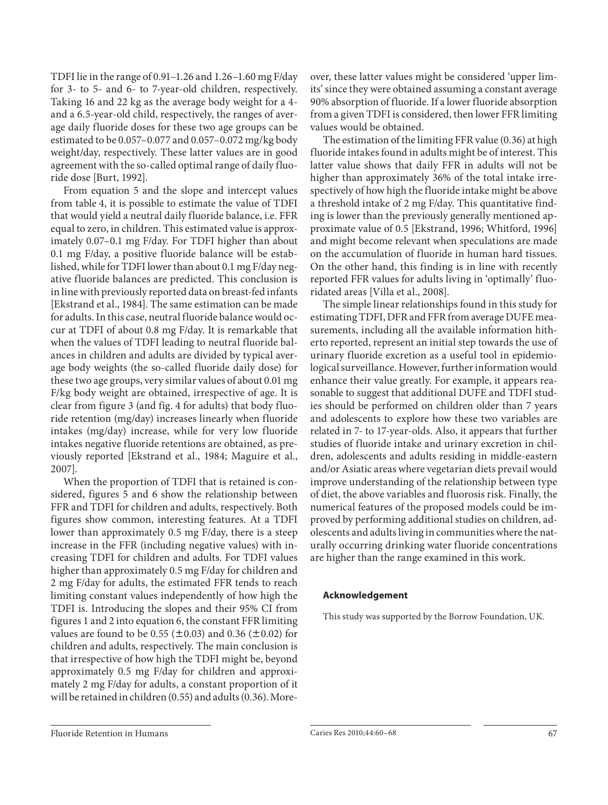TDFI lie in the range of 0.91–1.26 and 1.26–1.60 mg F/day for 3- to 5- and 6- to 7-year-old children, respectively. Taking 16 and 22 kg as the average body weight for a 4 and a 6.5-year-old child, respectively, the ranges of average daily fluoride doses for these two age groups can be estimated to be 0.057–0.077 and 0.057–0.072 mg/kg body weight/day, respectively. These latter values are in good agreement with the so-called optimal range of daily fluoride dose [Burt, 1992].

 From equation 5 and the slope and intercept values from table 4, it is possible to estimate the value of TDFI that would yield a neutral daily fluoride balance, i.e. FFR equal to zero, in children. This estimated value is approximately 0.07–0.1 mg F/day. For TDFI higher than about 0.1 mg F/day, a positive fluoride balance will be established, while for TDFI lower than about 0.1 mg F/day negative fluoride balances are predicted. This conclusion is in line with previously reported data on breast-fed infants [Ekstrand et al., 1984]. The same estimation can be made for adults. In this case, neutral fluoride balance would occur at TDFI of about 0.8 mg F/day. It is remarkable that when the values of TDFI leading to neutral fluoride balances in children and adults are divided by typical average body weights (the so-called fluoride daily dose) for these two age groups, very similar values of about 0.01 mg F/kg body weight are obtained, irrespective of age. It is clear from figure 3 (and fig. 4 for adults) that body fluoride retention (mg/day) increases linearly when fluoride intakes (mg/day) increase, while for very low fluoride intakes negative fluoride retentions are obtained, as previously reported [Ekstrand et al., 1984; Maguire et al., 2007].

 When the proportion of TDFI that is retained is considered, figures 5 and 6 show the relationship between FFR and TDFI for children and adults, respectively. Both figures show common, interesting features. At a TDFI lower than approximately 0.5 mg F/day, there is a steep increase in the FFR (including negative values) with increasing TDFI for children and adults. For TDFI values higher than approximately 0.5 mg F/day for children and 2 mg F/day for adults, the estimated FFR tends to reach limiting constant values independently of how high the TDFI is. Introducing the slopes and their 95% CI from figures 1 and 2 into equation 6, the constant FFR limiting values are found to be 0.55 ( $\pm$ 0.03) and 0.36 ( $\pm$ 0.02) for children and adults, respectively. The main conclusion is that irrespective of how high the TDFI might be, beyond approximately 0.5 mg F/day for children and approximately 2 mg F/day for adults, a constant proportion of it will be retained in children (0.55) and adults (0.36). Moreover, these latter values might be considered 'upper limits' since they were obtained assuming a constant average 90% absorption of fluoride. If a lower fluoride absorption from a given TDFI is considered, then lower FFR limiting values would be obtained.

 The estimation of the limiting FFR value (0.36) at high fluoride intakes found in adults might be of interest. This latter value shows that daily FFR in adults will not be higher than approximately 36% of the total intake irrespectively of how high the fluoride intake might be above a threshold intake of 2 mg F/day. This quantitative finding is lower than the previously generally mentioned approximate value of 0.5 [Ekstrand, 1996; Whitford, 1996] and might become relevant when speculations are made on the accumulation of fluoride in human hard tissues. On the other hand, this finding is in line with recently reported FFR values for adults living in 'optimally' fluoridated areas [Villa et al., 2008].

 The simple linear relationships found in this study for estimating TDFI, DFR and FFR from average DUFE measurements, including all the available information hitherto reported, represent an initial step towards the use of urinary fluoride excretion as a useful tool in epidemiological surveillance. However, further information would enhance their value greatly. For example, it appears reasonable to suggest that additional DUFE and TDFI studies should be performed on children older than 7 years and adolescents to explore how these two variables are related in 7- to 17-year-olds. Also, it appears that further studies of fluoride intake and urinary excretion in children, adolescents and adults residing in middle-eastern and/or Asiatic areas where vegetarian diets prevail would improve understanding of the relationship between type of diet, the above variables and fluorosis risk. Finally, the numerical features of the proposed models could be improved by performing additional studies on children, adolescents and adults living in communities where the naturally occurring drinking water fluoride concentrations are higher than the range examined in this work.

# **Acknowledgement**

This study was supported by the Borrow Foundation, UK.

Fluoride Retention in Humans Caries Res 2010;44:60–68 67